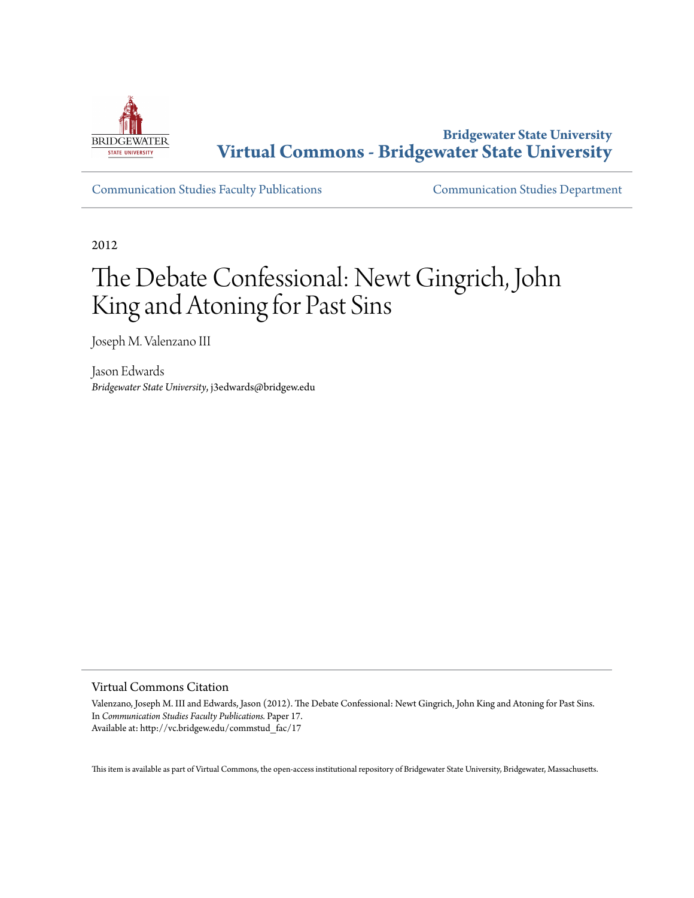

**Bridgewater State University [Virtual Commons - Bridgewater State University](http://vc.bridgew.edu)**

[Communication Studies Faculty Publications](http://vc.bridgew.edu/commstud_fac) [Communication Studies Department](http://vc.bridgew.edu/commstud)

2012

# The Debate Confessional: Newt Gingrich, John King and Atoning for Past Sins

Joseph M. Valenzano III

Jason Edwards *Bridgewater State University*, j3edwards@bridgew.edu

Virtual Commons Citation

Valenzano, Joseph M. III and Edwards, Jason (2012). The Debate Confessional: Newt Gingrich, John King and Atoning for Past Sins. In *Communication Studies Faculty Publications.* Paper 17. Available at: http://vc.bridgew.edu/commstud\_fac/17

This item is available as part of Virtual Commons, the open-access institutional repository of Bridgewater State University, Bridgewater, Massachusetts.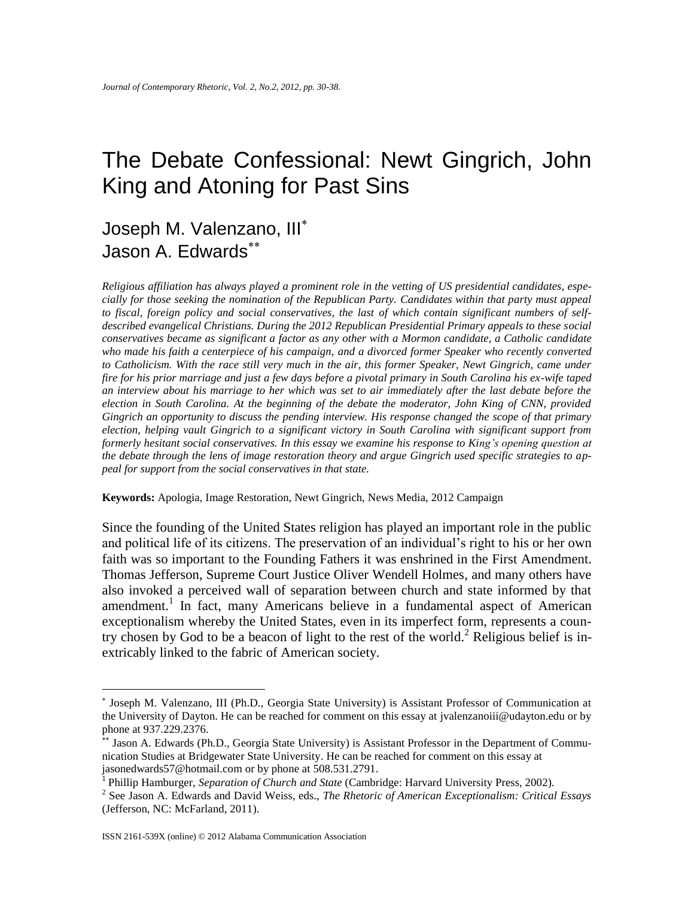## The Debate Confessional: Newt Gingrich, John King and Atoning for Past Sins

### Joseph M. Valenzano, III Jason A. Edwards

*Religious affiliation has always played a prominent role in the vetting of US presidential candidates, especially for those seeking the nomination of the Republican Party. Candidates within that party must appeal to fiscal, foreign policy and social conservatives, the last of which contain significant numbers of selfdescribed evangelical Christians. During the 2012 Republican Presidential Primary appeals to these social conservatives became as significant a factor as any other with a Mormon candidate, a Catholic candidate who made his faith a centerpiece of his campaign, and a divorced former Speaker who recently converted to Catholicism. With the race still very much in the air, this former Speaker, Newt Gingrich, came under fire for his prior marriage and just a few days before a pivotal primary in South Carolina his ex-wife taped an interview about his marriage to her which was set to air immediately after the last debate before the election in South Carolina. At the beginning of the debate the moderator, John King of CNN, provided Gingrich an opportunity to discuss the pending interview. His response changed the scope of that primary election, helping vault Gingrich to a significant victory in South Carolina with significant support from formerly hesitant social conservatives. In this essay we examine his response to King's opening question at the debate through the lens of image restoration theory and argue Gingrich used specific strategies to appeal for support from the social conservatives in that state.*

**Keywords:** Apologia, Image Restoration, Newt Gingrich, News Media, 2012 Campaign

Since the founding of the United States religion has played an important role in the public and political life of its citizens. The preservation of an individual's right to his or her own faith was so important to the Founding Fathers it was enshrined in the First Amendment. Thomas Jefferson, Supreme Court Justice Oliver Wendell Holmes, and many others have also invoked a perceived wall of separation between church and state informed by that amendment.<sup>1</sup> In fact, many Americans believe in a fundamental aspect of American exceptionalism whereby the United States, even in its imperfect form, represents a country chosen by God to be a beacon of light to the rest of the world.<sup>2</sup> Religious belief is inextricably linked to the fabric of American society.

Joseph M. Valenzano, III (Ph.D., Georgia State University) is Assistant Professor of Communication at the University of Dayton. He can be reached for comment on this essay at jvalenzanoiii@udayton.edu or by phone at 937.229.2376.

<sup>\*\*</sup> Jason A. Edwards (Ph.D., Georgia State University) is Assistant Professor in the Department of Communication Studies at Bridgewater State University. He can be reached for comment on this essay at jasonedwards57@hotmail.com or by phone at 508.531.2791.

<sup>1</sup> Phillip Hamburger, *Separation of Church and State* (Cambridge: Harvard University Press, 2002).

<sup>2</sup> See Jason A. Edwards and David Weiss, eds., *The Rhetoric of American Exceptionalism: Critical Essays* (Jefferson, NC: McFarland, 2011).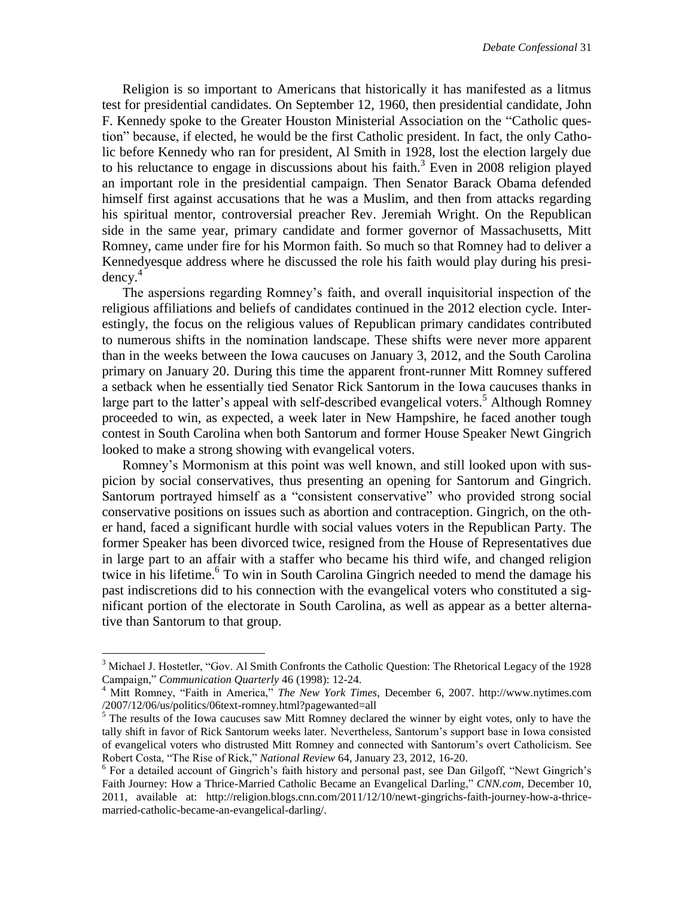Religion is so important to Americans that historically it has manifested as a litmus test for presidential candidates. On September 12, 1960, then presidential candidate, John F. Kennedy spoke to the Greater Houston Ministerial Association on the "Catholic question" because, if elected, he would be the first Catholic president. In fact, the only Catholic before Kennedy who ran for president, Al Smith in 1928, lost the election largely due to his reluctance to engage in discussions about his faith.<sup>3</sup> Even in 2008 religion played an important role in the presidential campaign. Then Senator Barack Obama defended himself first against accusations that he was a Muslim, and then from attacks regarding his spiritual mentor, controversial preacher Rev. Jeremiah Wright. On the Republican side in the same year, primary candidate and former governor of Massachusetts, Mitt Romney, came under fire for his Mormon faith. So much so that Romney had to deliver a Kennedyesque address where he discussed the role his faith would play during his presi $dencv<sup>4</sup>$ 

The aspersions regarding Romney's faith, and overall inquisitorial inspection of the religious affiliations and beliefs of candidates continued in the 2012 election cycle. Interestingly, the focus on the religious values of Republican primary candidates contributed to numerous shifts in the nomination landscape. These shifts were never more apparent than in the weeks between the Iowa caucuses on January 3, 2012, and the South Carolina primary on January 20. During this time the apparent front-runner Mitt Romney suffered a setback when he essentially tied Senator Rick Santorum in the Iowa caucuses thanks in large part to the latter's appeal with self-described evangelical voters.<sup>5</sup> Although Romney proceeded to win, as expected, a week later in New Hampshire, he faced another tough contest in South Carolina when both Santorum and former House Speaker Newt Gingrich looked to make a strong showing with evangelical voters.

Romney's Mormonism at this point was well known, and still looked upon with suspicion by social conservatives, thus presenting an opening for Santorum and Gingrich. Santorum portrayed himself as a "consistent conservative" who provided strong social conservative positions on issues such as abortion and contraception. Gingrich, on the other hand, faced a significant hurdle with social values voters in the Republican Party. The former Speaker has been divorced twice, resigned from the House of Representatives due in large part to an affair with a staffer who became his third wife, and changed religion twice in his lifetime.<sup>6</sup> To win in South Carolina Gingrich needed to mend the damage his past indiscretions did to his connection with the evangelical voters who constituted a significant portion of the electorate in South Carolina, as well as appear as a better alternative than Santorum to that group.

 $3$  Michael J. Hostetler, "Gov. Al Smith Confronts the Catholic Question: The Rhetorical Legacy of the 1928 Campaign," *Communication Quarterly* 46 (1998): 12-24.

<sup>4</sup> Mitt Romney, "Faith in America," *The New York Times*, December 6, 2007. http://www.nytimes.com /2007/12/06/us/politics/06text-romney.html?pagewanted=all

<sup>&</sup>lt;sup>5</sup> The results of the Iowa caucuses saw Mitt Romney declared the winner by eight votes, only to have the tally shift in favor of Rick Santorum weeks later. Nevertheless, Santorum's support base in Iowa consisted of evangelical voters who distrusted Mitt Romney and connected with Santorum's overt Catholicism. See Robert Costa, "The Rise of Rick," *National Review* 64, January 23, 2012, 16-20.

<sup>&</sup>lt;sup>6</sup> For a detailed account of Gingrich's faith history and personal past, see Dan Gilgoff, "Newt Gingrich's Faith Journey: How a Thrice-Married Catholic Became an Evangelical Darling," *CNN.com*, December 10, 2011, available at: http://religion.blogs.cnn.com/2011/12/10/newt-gingrichs-faith-journey-how-a-thricemarried-catholic-became-an-evangelical-darling/.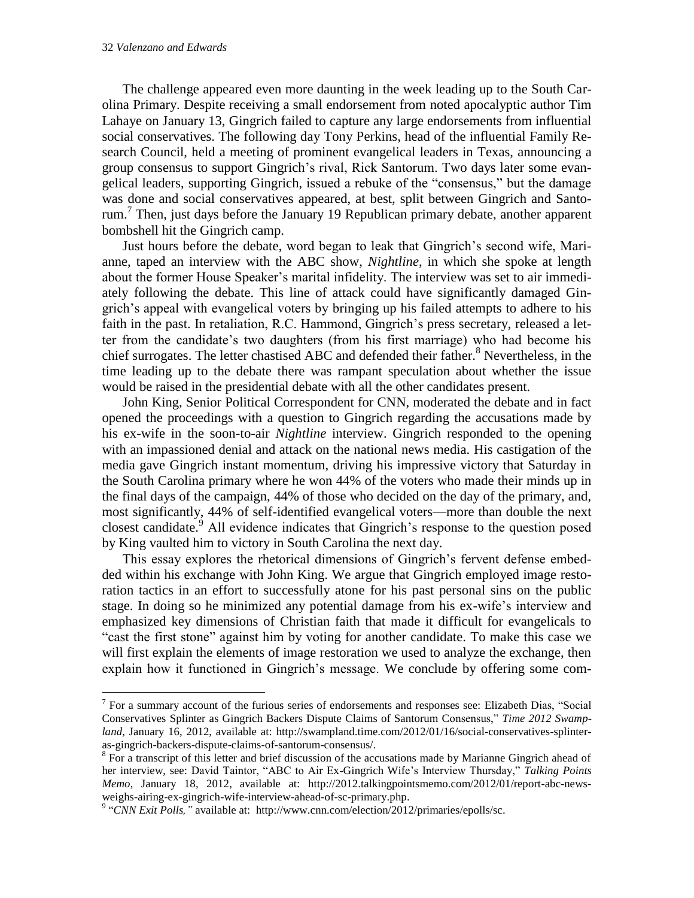$\overline{a}$ 

The challenge appeared even more daunting in the week leading up to the South Carolina Primary. Despite receiving a small endorsement from noted apocalyptic author Tim Lahaye on January 13, Gingrich failed to capture any large endorsements from influential social conservatives. The following day Tony Perkins, head of the influential Family Research Council, held a meeting of prominent evangelical leaders in Texas, announcing a group consensus to support Gingrich's rival, Rick Santorum. Two days later some evangelical leaders, supporting Gingrich, issued a rebuke of the "consensus," but the damage was done and social conservatives appeared, at best, split between Gingrich and Santorum.<sup>7</sup> Then, just days before the January 19 Republican primary debate, another apparent bombshell hit the Gingrich camp.

Just hours before the debate, word began to leak that Gingrich's second wife, Marianne, taped an interview with the ABC show, *Nightline*, in which she spoke at length about the former House Speaker's marital infidelity. The interview was set to air immediately following the debate. This line of attack could have significantly damaged Gingrich's appeal with evangelical voters by bringing up his failed attempts to adhere to his faith in the past. In retaliation, R.C. Hammond, Gingrich's press secretary, released a letter from the candidate's two daughters (from his first marriage) who had become his chief surrogates. The letter chastised ABC and defended their father.<sup>8</sup> Nevertheless, in the time leading up to the debate there was rampant speculation about whether the issue would be raised in the presidential debate with all the other candidates present.

John King, Senior Political Correspondent for CNN, moderated the debate and in fact opened the proceedings with a question to Gingrich regarding the accusations made by his ex-wife in the soon-to-air *Nightline* interview. Gingrich responded to the opening with an impassioned denial and attack on the national news media. His castigation of the media gave Gingrich instant momentum, driving his impressive victory that Saturday in the South Carolina primary where he won 44% of the voters who made their minds up in the final days of the campaign, 44% of those who decided on the day of the primary, and, most significantly, 44% of self-identified evangelical voters—more than double the next closest candidate.<sup>9</sup> All evidence indicates that Gingrich's response to the question posed by King vaulted him to victory in South Carolina the next day.

This essay explores the rhetorical dimensions of Gingrich's fervent defense embedded within his exchange with John King. We argue that Gingrich employed image restoration tactics in an effort to successfully atone for his past personal sins on the public stage. In doing so he minimized any potential damage from his ex-wife's interview and emphasized key dimensions of Christian faith that made it difficult for evangelicals to "cast the first stone" against him by voting for another candidate. To make this case we will first explain the elements of image restoration we used to analyze the exchange, then explain how it functioned in Gingrich's message. We conclude by offering some com-

<sup>&</sup>lt;sup>7</sup> For a summary account of the furious series of endorsements and responses see: Elizabeth Dias, "Social Conservatives Splinter as Gingrich Backers Dispute Claims of Santorum Consensus," *Time 2012 Swampland,* January 16, 2012, available at: http://swampland.time.com/2012/01/16/social-conservatives-splinteras-gingrich-backers-dispute-claims-of-santorum-consensus/.

<sup>&</sup>lt;sup>8</sup> For a transcript of this letter and brief discussion of the accusations made by Marianne Gingrich ahead of her interview, see: David Taintor, "ABC to Air Ex-Gingrich Wife's Interview Thursday," *Talking Points Memo,* January 18, 2012, available at: http://2012.talkingpointsmemo.com/2012/01/report-abc-newsweighs-airing-ex-gingrich-wife-interview-ahead-of-sc-primary.php.

<sup>&</sup>lt;sup>9</sup> "CNN Exit Polls," available at: http://www.cnn.com/election/2012/primaries/epolls/sc.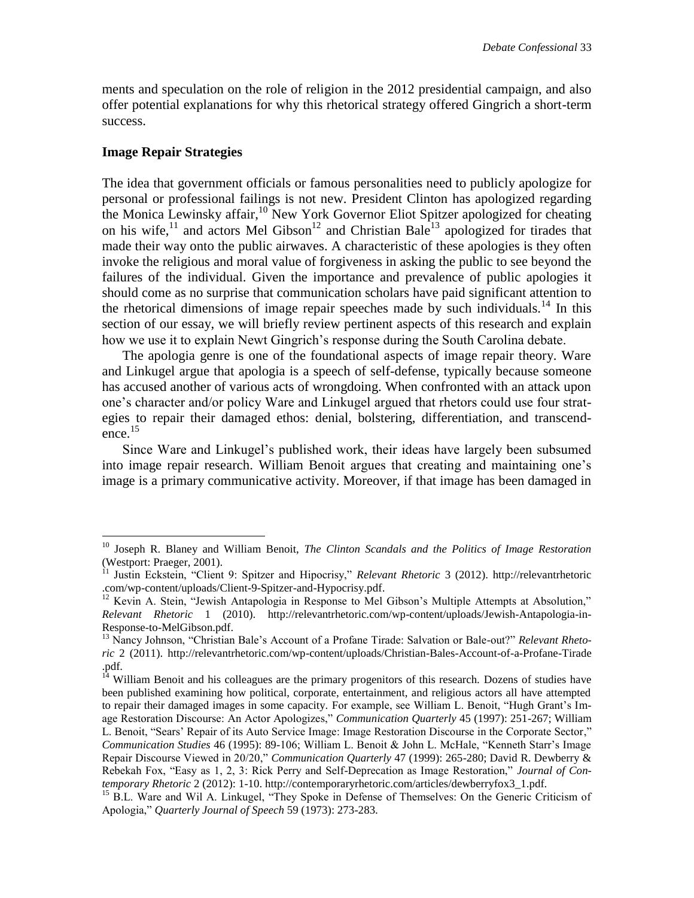ments and speculation on the role of religion in the 2012 presidential campaign, and also offer potential explanations for why this rhetorical strategy offered Gingrich a short-term success.

#### **Image Repair Strategies**

 $\overline{a}$ 

The idea that government officials or famous personalities need to publicly apologize for personal or professional failings is not new. President Clinton has apologized regarding the Monica Lewinsky affair,<sup>10</sup> New York Governor Eliot Spitzer apologized for cheating on his wife, $^{11}$  and actors Mel Gibson<sup>12</sup> and Christian Bale<sup>13</sup> apologized for tirades that made their way onto the public airwaves. A characteristic of these apologies is they often invoke the religious and moral value of forgiveness in asking the public to see beyond the failures of the individual. Given the importance and prevalence of public apologies it should come as no surprise that communication scholars have paid significant attention to the rhetorical dimensions of image repair speeches made by such individuals.<sup>14</sup> In this section of our essay, we will briefly review pertinent aspects of this research and explain how we use it to explain Newt Gingrich's response during the South Carolina debate.

The apologia genre is one of the foundational aspects of image repair theory. Ware and Linkugel argue that apologia is a speech of self-defense, typically because someone has accused another of various acts of wrongdoing. When confronted with an attack upon one's character and/or policy Ware and Linkugel argued that rhetors could use four strategies to repair their damaged ethos: denial, bolstering, differentiation, and transcendence. 15

Since Ware and Linkugel's published work, their ideas have largely been subsumed into image repair research. William Benoit argues that creating and maintaining one's image is a primary communicative activity. Moreover, if that image has been damaged in

<sup>10</sup> Joseph R. Blaney and William Benoit, *The Clinton Scandals and the Politics of Image Restoration* (Westport: Praeger, 2001).

<sup>11</sup> Justin Eckstein, "Client 9: Spitzer and Hipocrisy," *Relevant Rhetoric* 3 (2012). http://relevantrhetoric .com/wp-content/uploads/Client-9-Spitzer-and-Hypocrisy.pdf.

<sup>&</sup>lt;sup>12</sup> Kevin A. Stein, "Jewish Antapologia in Response to Mel Gibson's Multiple Attempts at Absolution," *Relevant Rhetoric* 1 (2010). http://relevantrhetoric.com/wp-content/uploads/Jewish-Antapologia-in-Response-to-MelGibson.pdf.

<sup>13</sup> Nancy Johnson, "Christian Bale's Account of a Profane Tirade: Salvation or Bale-out?" *Relevant Rhetoric* 2 (2011). http://relevantrhetoric.com/wp-content/uploads/Christian-Bales-Account-of-a-Profane-Tirade .pdf.

<sup>&</sup>lt;sup>14</sup> William Benoit and his colleagues are the primary progenitors of this research. Dozens of studies have been published examining how political, corporate, entertainment, and religious actors all have attempted to repair their damaged images in some capacity. For example, see William L. Benoit, "Hugh Grant's Image Restoration Discourse: An Actor Apologizes," *Communication Quarterly* 45 (1997): 251-267; William L. Benoit, "Sears' Repair of its Auto Service Image: Image Restoration Discourse in the Corporate Sector," *Communication Studies* 46 (1995): 89-106; William L. Benoit & John L. McHale, "Kenneth Starr's Image Repair Discourse Viewed in 20/20," *Communication Quarterly* 47 (1999): 265-280; David R. Dewberry & Rebekah Fox, "Easy as 1, 2, 3: Rick Perry and Self-Deprecation as Image Restoration," *Journal of Contemporary Rhetoric* 2 (2012): 1-10. http://contemporaryrhetoric.com/articles/dewberryfox3\_1.pdf.

<sup>&</sup>lt;sup>15</sup> B.L. Ware and Wil A. Linkugel, "They Spoke in Defense of Themselves: On the Generic Criticism of Apologia," *Quarterly Journal of Speech* 59 (1973): 273-283.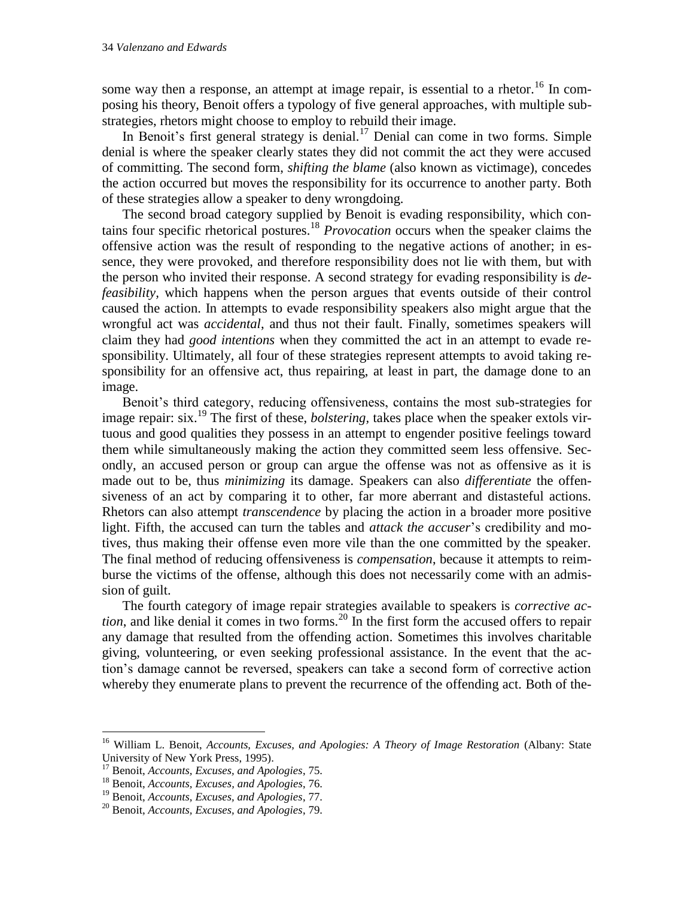some way then a response, an attempt at image repair, is essential to a rhetor.<sup>16</sup> In composing his theory, Benoit offers a typology of five general approaches, with multiple substrategies, rhetors might choose to employ to rebuild their image.

In Benoit's first general strategy is denial.<sup>17</sup> Denial can come in two forms. Simple denial is where the speaker clearly states they did not commit the act they were accused of committing. The second form, *shifting the blame* (also known as victimage), concedes the action occurred but moves the responsibility for its occurrence to another party. Both of these strategies allow a speaker to deny wrongdoing.

The second broad category supplied by Benoit is evading responsibility, which contains four specific rhetorical postures.<sup>18</sup> *Provocation* occurs when the speaker claims the offensive action was the result of responding to the negative actions of another; in essence, they were provoked, and therefore responsibility does not lie with them, but with the person who invited their response. A second strategy for evading responsibility is *defeasibility,* which happens when the person argues that events outside of their control caused the action. In attempts to evade responsibility speakers also might argue that the wrongful act was *accidental*, and thus not their fault. Finally, sometimes speakers will claim they had *good intentions* when they committed the act in an attempt to evade responsibility. Ultimately, all four of these strategies represent attempts to avoid taking responsibility for an offensive act, thus repairing, at least in part, the damage done to an image.

Benoit's third category, reducing offensiveness, contains the most sub-strategies for image repair: six.<sup>19</sup> The first of these, *bolstering*, takes place when the speaker extols virtuous and good qualities they possess in an attempt to engender positive feelings toward them while simultaneously making the action they committed seem less offensive. Secondly, an accused person or group can argue the offense was not as offensive as it is made out to be, thus *minimizing* its damage. Speakers can also *differentiate* the offensiveness of an act by comparing it to other, far more aberrant and distasteful actions. Rhetors can also attempt *transcendence* by placing the action in a broader more positive light. Fifth, the accused can turn the tables and *attack the accuser*'s credibility and motives, thus making their offense even more vile than the one committed by the speaker. The final method of reducing offensiveness is *compensation*, because it attempts to reimburse the victims of the offense, although this does not necessarily come with an admission of guilt.

The fourth category of image repair strategies available to speakers is *corrective action*, and like denial it comes in two forms.<sup>20</sup> In the first form the accused offers to repair any damage that resulted from the offending action. Sometimes this involves charitable giving, volunteering, or even seeking professional assistance. In the event that the action's damage cannot be reversed, speakers can take a second form of corrective action whereby they enumerate plans to prevent the recurrence of the offending act. Both of the-

<sup>&</sup>lt;sup>16</sup> William L. Benoit, *Accounts, Excuses, and Apologies: A Theory of Image Restoration* (Albany: State University of New York Press, 1995).

<sup>17</sup> Benoit, *Accounts, Excuses, and Apologies*, 75.

<sup>18</sup> Benoit, *Accounts, Excuses, and Apologies*, 76.

<sup>19</sup> Benoit, *Accounts, Excuses, and Apologies*, 77.

<sup>20</sup> Benoit, *Accounts, Excuses, and Apologies*, 79.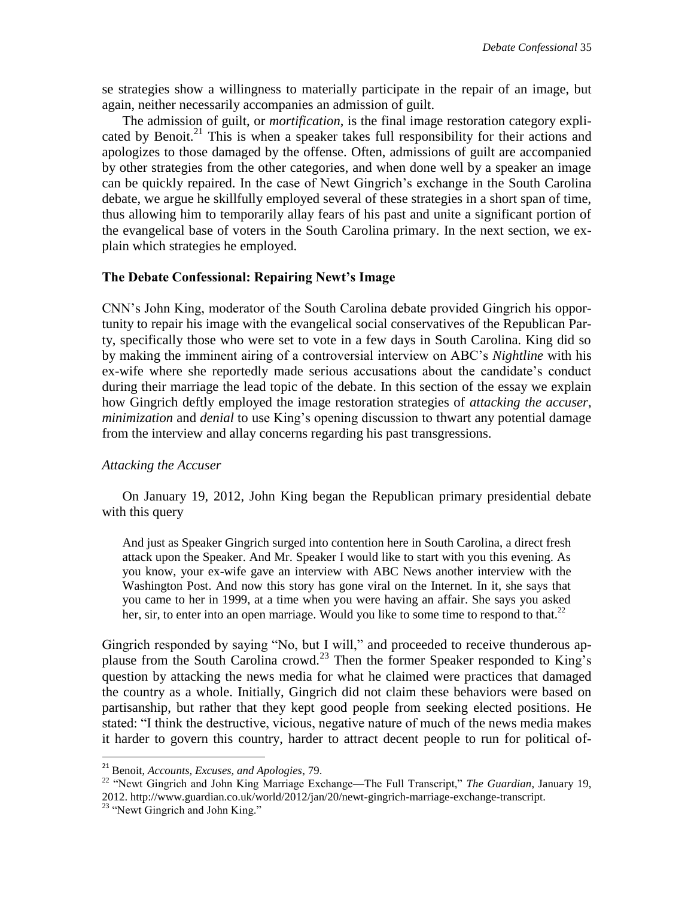se strategies show a willingness to materially participate in the repair of an image, but again, neither necessarily accompanies an admission of guilt.

The admission of guilt, or *mortification*, is the final image restoration category explicated by Benoit.<sup>21</sup> This is when a speaker takes full responsibility for their actions and apologizes to those damaged by the offense. Often, admissions of guilt are accompanied by other strategies from the other categories, and when done well by a speaker an image can be quickly repaired. In the case of Newt Gingrich's exchange in the South Carolina debate, we argue he skillfully employed several of these strategies in a short span of time, thus allowing him to temporarily allay fears of his past and unite a significant portion of the evangelical base of voters in the South Carolina primary. In the next section, we explain which strategies he employed.

#### **The Debate Confessional: Repairing Newt's Image**

CNN's John King, moderator of the South Carolina debate provided Gingrich his opportunity to repair his image with the evangelical social conservatives of the Republican Party, specifically those who were set to vote in a few days in South Carolina. King did so by making the imminent airing of a controversial interview on ABC's *Nightline* with his ex-wife where she reportedly made serious accusations about the candidate's conduct during their marriage the lead topic of the debate. In this section of the essay we explain how Gingrich deftly employed the image restoration strategies of *attacking the accuser*, *minimization* and *denial* to use King's opening discussion to thwart any potential damage from the interview and allay concerns regarding his past transgressions.

#### *Attacking the Accuser*

On January 19, 2012, John King began the Republican primary presidential debate with this query

And just as Speaker Gingrich surged into contention here in South Carolina, a direct fresh attack upon the Speaker. And Mr. Speaker I would like to start with you this evening. As you know, your ex-wife gave an interview with ABC News another interview with the Washington Post. And now this story has gone viral on the Internet. In it, she says that you came to her in 1999, at a time when you were having an affair. She says you asked her, sir, to enter into an open marriage. Would you like to some time to respond to that.<sup>22</sup>

Gingrich responded by saying "No, but I will," and proceeded to receive thunderous applause from the South Carolina crowd.<sup>23</sup> Then the former Speaker responded to King's question by attacking the news media for what he claimed were practices that damaged the country as a whole. Initially, Gingrich did not claim these behaviors were based on partisanship, but rather that they kept good people from seeking elected positions. He stated: "I think the destructive, vicious, negative nature of much of the news media makes it harder to govern this country, harder to attract decent people to run for political of-

<sup>21</sup> Benoit, *Accounts, Excuses, and Apologies*, 79.

<sup>22</sup> "Newt Gingrich and John King Marriage Exchange—The Full Transcript," *The Guardian*, January 19, 2012. http://www.guardian.co.uk/world/2012/jan/20/newt-gingrich-marriage-exchange-transcript.

<sup>&</sup>lt;sup>23</sup> "Newt Gingrich and John King."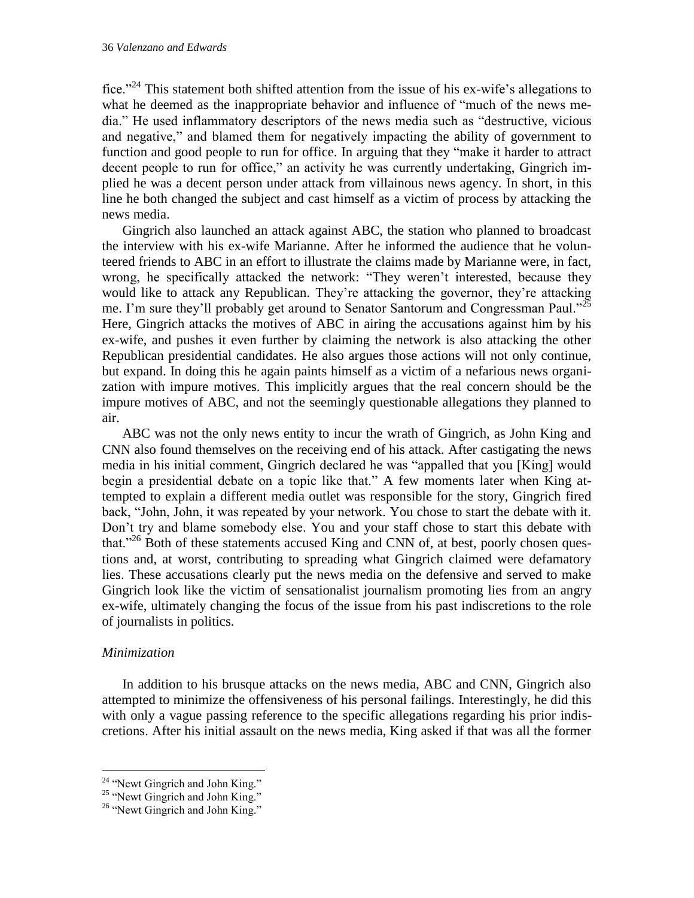fice."<sup>24</sup> This statement both shifted attention from the issue of his ex-wife's allegations to what he deemed as the inappropriate behavior and influence of "much of the news media." He used inflammatory descriptors of the news media such as "destructive, vicious and negative," and blamed them for negatively impacting the ability of government to function and good people to run for office. In arguing that they "make it harder to attract decent people to run for office," an activity he was currently undertaking, Gingrich implied he was a decent person under attack from villainous news agency. In short, in this line he both changed the subject and cast himself as a victim of process by attacking the news media.

Gingrich also launched an attack against ABC, the station who planned to broadcast the interview with his ex-wife Marianne. After he informed the audience that he volunteered friends to ABC in an effort to illustrate the claims made by Marianne were, in fact, wrong, he specifically attacked the network: "They weren't interested, because they would like to attack any Republican. They're attacking the governor, they're attacking me. I'm sure they'll probably get around to Senator Santorum and Congressman Paul."<sup>25</sup> Here, Gingrich attacks the motives of ABC in airing the accusations against him by his ex-wife, and pushes it even further by claiming the network is also attacking the other Republican presidential candidates. He also argues those actions will not only continue, but expand. In doing this he again paints himself as a victim of a nefarious news organization with impure motives. This implicitly argues that the real concern should be the impure motives of ABC, and not the seemingly questionable allegations they planned to air.

ABC was not the only news entity to incur the wrath of Gingrich, as John King and CNN also found themselves on the receiving end of his attack. After castigating the news media in his initial comment, Gingrich declared he was "appalled that you [King] would begin a presidential debate on a topic like that." A few moments later when King attempted to explain a different media outlet was responsible for the story, Gingrich fired back, "John, John, it was repeated by your network. You chose to start the debate with it. Don't try and blame somebody else. You and your staff chose to start this debate with that."<sup>26</sup> Both of these statements accused King and CNN of, at best, poorly chosen questions and, at worst, contributing to spreading what Gingrich claimed were defamatory lies. These accusations clearly put the news media on the defensive and served to make Gingrich look like the victim of sensationalist journalism promoting lies from an angry ex-wife, ultimately changing the focus of the issue from his past indiscretions to the role of journalists in politics.

#### *Minimization*

 $\overline{a}$ 

In addition to his brusque attacks on the news media, ABC and CNN, Gingrich also attempted to minimize the offensiveness of his personal failings. Interestingly, he did this with only a vague passing reference to the specific allegations regarding his prior indiscretions. After his initial assault on the news media, King asked if that was all the former

<sup>&</sup>lt;sup>24</sup> "Newt Gingrich and John King."

 $25$  "Newt Gingrich and John King."

 $26$  "Newt Gingrich and John King."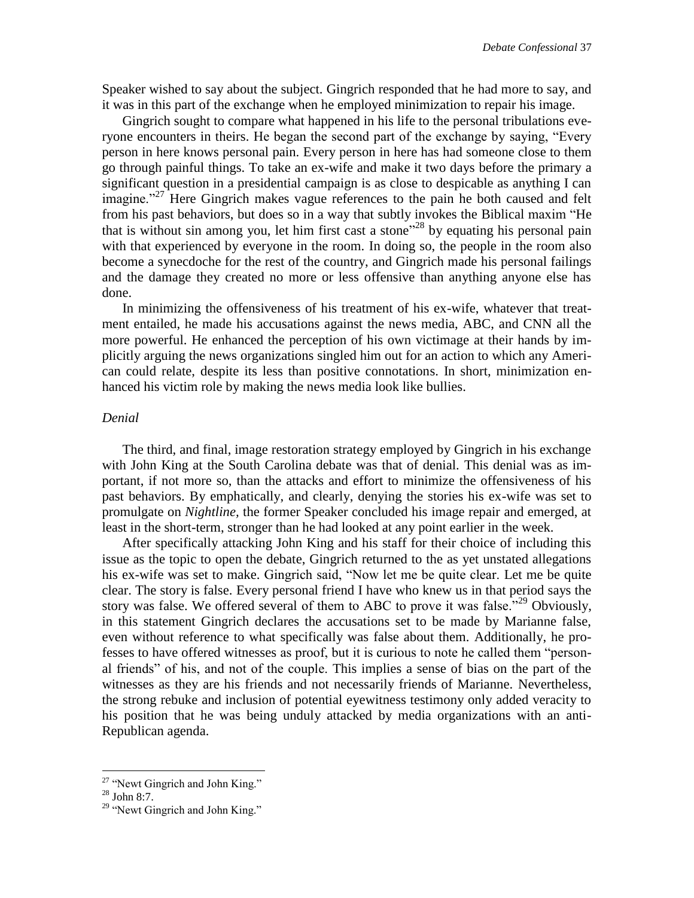Speaker wished to say about the subject. Gingrich responded that he had more to say, and it was in this part of the exchange when he employed minimization to repair his image.

Gingrich sought to compare what happened in his life to the personal tribulations everyone encounters in theirs. He began the second part of the exchange by saying, "Every person in here knows personal pain. Every person in here has had someone close to them go through painful things. To take an ex-wife and make it two days before the primary a significant question in a presidential campaign is as close to despicable as anything I can imagine."<sup>27</sup> Here Gingrich makes vague references to the pain he both caused and felt from his past behaviors, but does so in a way that subtly invokes the Biblical maxim "He that is without sin among you, let him first cast a stone<sup>"28</sup> by equating his personal pain with that experienced by everyone in the room. In doing so, the people in the room also become a synecdoche for the rest of the country, and Gingrich made his personal failings and the damage they created no more or less offensive than anything anyone else has done.

In minimizing the offensiveness of his treatment of his ex-wife, whatever that treatment entailed, he made his accusations against the news media, ABC, and CNN all the more powerful. He enhanced the perception of his own victimage at their hands by implicitly arguing the news organizations singled him out for an action to which any American could relate, despite its less than positive connotations. In short, minimization enhanced his victim role by making the news media look like bullies.

#### *Denial*

The third, and final, image restoration strategy employed by Gingrich in his exchange with John King at the South Carolina debate was that of denial. This denial was as important, if not more so, than the attacks and effort to minimize the offensiveness of his past behaviors. By emphatically, and clearly, denying the stories his ex-wife was set to promulgate on *Nightline,* the former Speaker concluded his image repair and emerged, at least in the short-term, stronger than he had looked at any point earlier in the week.

After specifically attacking John King and his staff for their choice of including this issue as the topic to open the debate, Gingrich returned to the as yet unstated allegations his ex-wife was set to make. Gingrich said, "Now let me be quite clear. Let me be quite clear. The story is false. Every personal friend I have who knew us in that period says the story was false. We offered several of them to ABC to prove it was false."<sup>29</sup> Obviously, in this statement Gingrich declares the accusations set to be made by Marianne false, even without reference to what specifically was false about them. Additionally, he professes to have offered witnesses as proof, but it is curious to note he called them "personal friends" of his, and not of the couple. This implies a sense of bias on the part of the witnesses as they are his friends and not necessarily friends of Marianne. Nevertheless, the strong rebuke and inclusion of potential eyewitness testimony only added veracity to his position that he was being unduly attacked by media organizations with an anti-Republican agenda.

<sup>&</sup>lt;sup>27</sup> "Newt Gingrich and John King."

 $28$  John 8:7.

 $29$  "Newt Gingrich and John King."